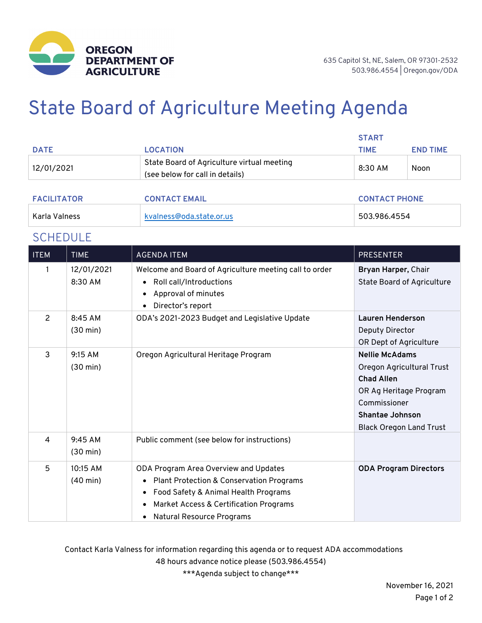

# State Board of Agriculture Meeting Agenda

|                    |                                                                               | <b>START</b>         |                 |
|--------------------|-------------------------------------------------------------------------------|----------------------|-----------------|
| <b>DATE</b>        | <b>LOCATION</b>                                                               | <b>TIME</b>          | <b>END TIME</b> |
| 12/01/2021         | State Board of Agriculture virtual meeting<br>(see below for call in details) | 8:30 AM              | Noon            |
| <b>FACILITATOR</b> | <b>CONTACT EMAIL</b>                                                          | <b>CONTACT PHONE</b> |                 |

| <b>FALILITATUR</b> | <b>CONTACT EMAIL</b>     | <b>CUNTACT PHUNE</b> |
|--------------------|--------------------------|----------------------|
| Karla Valness      | kvalness@oda.state.or.us | 503.986.4554         |

## **SCHEDULE**

| <b>ITEM</b>    | <b>TIME</b>                    | <b>AGENDA ITEM</b>                                                                                                                                                                                          | <b>PRESENTER</b>                                                                                                                                                              |
|----------------|--------------------------------|-------------------------------------------------------------------------------------------------------------------------------------------------------------------------------------------------------------|-------------------------------------------------------------------------------------------------------------------------------------------------------------------------------|
| 1              | 12/01/2021<br>8:30 AM          | Welcome and Board of Agriculture meeting call to order<br>Roll call/Introductions<br>$\bullet$<br>Approval of minutes<br>Director's report                                                                  | Bryan Harper, Chair<br><b>State Board of Agriculture</b>                                                                                                                      |
| $\overline{2}$ | 8:45 AM<br>$(30 \text{ min})$  | ODA's 2021-2023 Budget and Legislative Update                                                                                                                                                               | <b>Lauren Henderson</b><br>Deputy Director<br>OR Dept of Agriculture                                                                                                          |
| 3              | 9:15 AM<br>$(30 \text{ min})$  | Oregon Agricultural Heritage Program                                                                                                                                                                        | <b>Nellie McAdams</b><br>Oregon Agricultural Trust<br><b>Chad Allen</b><br>OR Ag Heritage Program<br>Commissioner<br><b>Shantae Johnson</b><br><b>Black Oregon Land Trust</b> |
| $\overline{4}$ | 9:45 AM<br>$(30 \text{ min})$  | Public comment (see below for instructions)                                                                                                                                                                 |                                                                                                                                                                               |
| 5              | 10:15 AM<br>$(40 \text{ min})$ | ODA Program Area Overview and Updates<br><b>Plant Protection &amp; Conservation Programs</b><br>Food Safety & Animal Health Programs<br>Market Access & Certification Programs<br>Natural Resource Programs | <b>ODA Program Directors</b>                                                                                                                                                  |

Contact Karla Valness for information regarding this agenda or to request ADA accommodations 48 hours advance notice please (503.986.4554)

\*\*\*Agenda subject to change\*\*\*